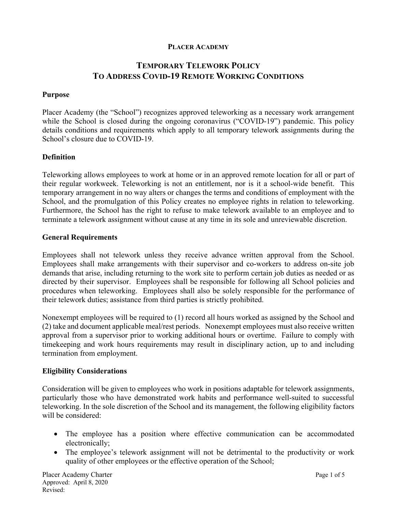#### **PLACER ACADEMY**

# **TEMPORARY TELEWORK POLICY TO ADDRESS COVID-19 REMOTE WORKING CONDITIONS**

### **Purpose**

Placer Academy (the "School") recognizes approved teleworking as a necessary work arrangement while the School is closed during the ongoing coronavirus ("COVID-19") pandemic. This policy details conditions and requirements which apply to all temporary telework assignments during the School's closure due to COVID-19.

### **Definition**

Teleworking allows employees to work at home or in an approved remote location for all or part of their regular workweek. Teleworking is not an entitlement, nor is it a school-wide benefit. This temporary arrangement in no way alters or changes the terms and conditions of employment with the School, and the promulgation of this Policy creates no employee rights in relation to teleworking. Furthermore, the School has the right to refuse to make telework available to an employee and to terminate a telework assignment without cause at any time in its sole and unreviewable discretion.

#### **General Requirements**

Employees shall not telework unless they receive advance written approval from the School. Employees shall make arrangements with their supervisor and co-workers to address on-site job demands that arise, including returning to the work site to perform certain job duties as needed or as directed by their supervisor. Employees shall be responsible for following all School policies and procedures when teleworking. Employees shall also be solely responsible for the performance of their telework duties; assistance from third parties is strictly prohibited.

Nonexempt employees will be required to (1) record all hours worked as assigned by the School and (2) take and document applicable meal/rest periods. Nonexempt employees must also receive written approval from a supervisor prior to working additional hours or overtime. Failure to comply with timekeeping and work hours requirements may result in disciplinary action, up to and including termination from employment.

#### **Eligibility Considerations**

Consideration will be given to employees who work in positions adaptable for telework assignments, particularly those who have demonstrated work habits and performance well-suited to successful teleworking. In the sole discretion of the School and its management, the following eligibility factors will be considered:

- The employee has a position where effective communication can be accommodated electronically;
- The employee's telework assignment will not be detrimental to the productivity or work quality of other employees or the effective operation of the School;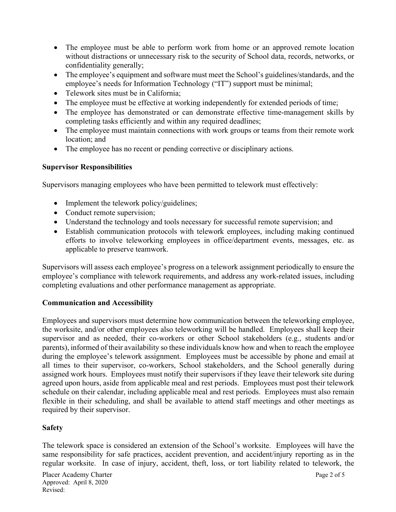- The employee must be able to perform work from home or an approved remote location without distractions or unnecessary risk to the security of School data, records, networks, or confidentiality generally;
- The employee's equipment and software must meet the School's guidelines/standards, and the employee's needs for Information Technology ("IT") support must be minimal;
- Telework sites must be in California;
- The employee must be effective at working independently for extended periods of time;
- The employee has demonstrated or can demonstrate effective time-management skills by completing tasks efficiently and within any required deadlines;
- The employee must maintain connections with work groups or teams from their remote work location; and
- The employee has no recent or pending corrective or disciplinary actions.

## **Supervisor Responsibilities**

Supervisors managing employees who have been permitted to telework must effectively:

- Implement the telework policy/guidelines;
- Conduct remote supervision;
- Understand the technology and tools necessary for successful remote supervision; and
- Establish communication protocols with telework employees, including making continued efforts to involve teleworking employees in office/department events, messages, etc. as applicable to preserve teamwork.

Supervisors will assess each employee's progress on a telework assignment periodically to ensure the employee's compliance with telework requirements, and address any work-related issues, including completing evaluations and other performance management as appropriate.

## **Communication and Accessibility**

Employees and supervisors must determine how communication between the teleworking employee, the worksite, and/or other employees also teleworking will be handled. Employees shall keep their supervisor and as needed, their co-workers or other School stakeholders (e.g., students and/or parents), informed of their availability so these individuals know how and when to reach the employee during the employee's telework assignment. Employees must be accessible by phone and email at all times to their supervisor, co-workers, School stakeholders, and the School generally during assigned work hours. Employees must notify their supervisors if they leave their telework site during agreed upon hours, aside from applicable meal and rest periods. Employees must post their telework schedule on their calendar, including applicable meal and rest periods. Employees must also remain flexible in their scheduling, and shall be available to attend staff meetings and other meetings as required by their supervisor.

# **Safety**

The telework space is considered an extension of the School's worksite. Employees will have the same responsibility for safe practices, accident prevention, and accident/injury reporting as in the regular worksite. In case of injury, accident, theft, loss, or tort liability related to telework, the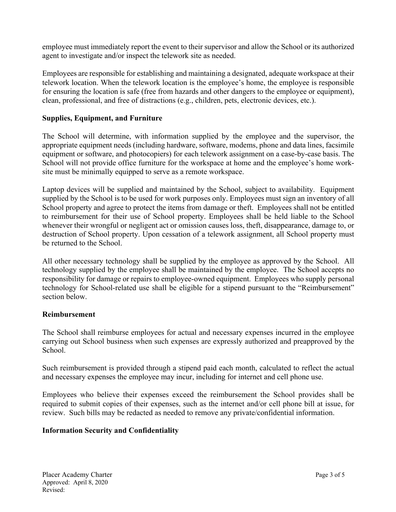employee must immediately report the event to their supervisor and allow the School or its authorized agent to investigate and/or inspect the telework site as needed.

Employees are responsible for establishing and maintaining a designated, adequate workspace at their telework location. When the telework location is the employee's home, the employee is responsible for ensuring the location is safe (free from hazards and other dangers to the employee or equipment), clean, professional, and free of distractions (e.g., children, pets, electronic devices, etc.).

## **Supplies, Equipment, and Furniture**

The School will determine, with information supplied by the employee and the supervisor, the appropriate equipment needs (including hardware, software, modems, phone and data lines, facsimile equipment or software, and photocopiers) for each telework assignment on a case-by-case basis. The School will not provide office furniture for the workspace at home and the employee's home worksite must be minimally equipped to serve as a remote workspace.

Laptop devices will be supplied and maintained by the School, subject to availability. Equipment supplied by the School is to be used for work purposes only. Employees must sign an inventory of all School property and agree to protect the items from damage or theft. Employees shall not be entitled to reimbursement for their use of School property. Employees shall be held liable to the School whenever their wrongful or negligent act or omission causes loss, theft, disappearance, damage to, or destruction of School property. Upon cessation of a telework assignment, all School property must be returned to the School.

All other necessary technology shall be supplied by the employee as approved by the School. All technology supplied by the employee shall be maintained by the employee. The School accepts no responsibility for damage or repairs to employee-owned equipment. Employees who supply personal technology for School-related use shall be eligible for a stipend pursuant to the "Reimbursement" section below.

## **Reimbursement**

The School shall reimburse employees for actual and necessary expenses incurred in the employee carrying out School business when such expenses are expressly authorized and preapproved by the School.

Such reimbursement is provided through a stipend paid each month, calculated to reflect the actual and necessary expenses the employee may incur, including for internet and cell phone use.

Employees who believe their expenses exceed the reimbursement the School provides shall be required to submit copies of their expenses, such as the internet and/or cell phone bill at issue, for review. Such bills may be redacted as needed to remove any private/confidential information.

# **Information Security and Confidentiality**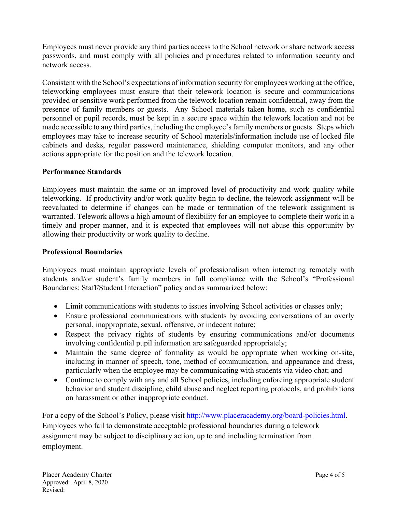Employees must never provide any third parties access to the School network or share network access passwords, and must comply with all policies and procedures related to information security and network access.

Consistent with the School's expectations of information security for employees working at the office, teleworking employees must ensure that their telework location is secure and communications provided or sensitive work performed from the telework location remain confidential, away from the presence of family members or guests. Any School materials taken home, such as confidential personnel or pupil records, must be kept in a secure space within the telework location and not be made accessible to any third parties, including the employee's family members or guests. Steps which employees may take to increase security of School materials/information include use of locked file cabinets and desks, regular password maintenance, shielding computer monitors, and any other actions appropriate for the position and the telework location.

## **Performance Standards**

Employees must maintain the same or an improved level of productivity and work quality while teleworking. If productivity and/or work quality begin to decline, the telework assignment will be reevaluated to determine if changes can be made or termination of the telework assignment is warranted. Telework allows a high amount of flexibility for an employee to complete their work in a timely and proper manner, and it is expected that employees will not abuse this opportunity by allowing their productivity or work quality to decline.

## **Professional Boundaries**

Employees must maintain appropriate levels of professionalism when interacting remotely with students and/or student's family members in full compliance with the School's "Professional Boundaries: Staff/Student Interaction" policy and as summarized below:

- Limit communications with students to issues involving School activities or classes only;
- Ensure professional communications with students by avoiding conversations of an overly personal, inappropriate, sexual, offensive, or indecent nature;
- Respect the privacy rights of students by ensuring communications and/or documents involving confidential pupil information are safeguarded appropriately;
- Maintain the same degree of formality as would be appropriate when working on-site, including in manner of speech, tone, method of communication, and appearance and dress, particularly when the employee may be communicating with students via video chat; and
- Continue to comply with any and all School policies, including enforcing appropriate student behavior and student discipline, child abuse and neglect reporting protocols, and prohibitions on harassment or other inappropriate conduct.

For a copy of the School's Policy, please visit http://www.placeracademy.org/board-policies.html. Employees who fail to demonstrate acceptable professional boundaries during a telework assignment may be subject to disciplinary action, up to and including termination from employment.